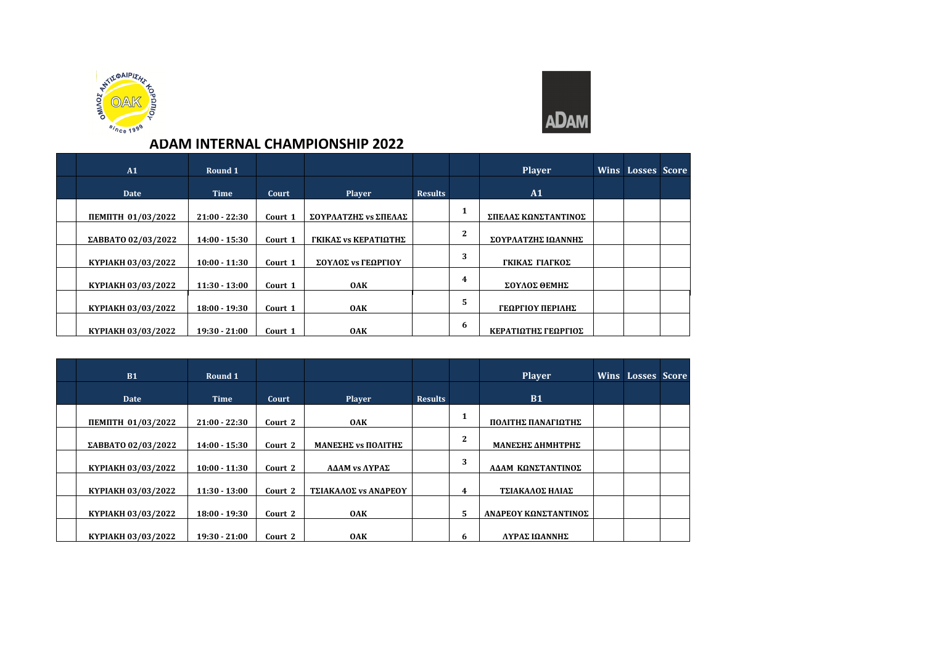



## **ADAM INTERNAL CHAMPIONSHIP 2022**

| A1                 | Round 1         |         |                      |                |                | <b>Player</b>       | Wins Losses Score |  |
|--------------------|-----------------|---------|----------------------|----------------|----------------|---------------------|-------------------|--|
| <b>Date</b>        | <b>Time</b>     | Court   | <b>Player</b>        | <b>Results</b> |                | A1                  |                   |  |
| ПЕМПТН 01/03/2022  | $21:00 - 22:30$ | Court 1 | ΣΟΥΡΛΑΤΖΗΣ νε ΣΠΕΛΑΣ |                |                | ΣΠΕΛΑΣ ΚΩΝΣΤΑΝΤΙΝΟΣ |                   |  |
| ΣΑΒΒΑΤΟ 02/03/2022 | $14:00 - 15:30$ | Court 1 | ΓΚΙΚΑΣ νε ΚΕΡΑΤΙΩΤΗΣ |                | $\overline{2}$ | ΣΟΥΡΛΑΤΖΗΣ ΙΩΑΝΝΗΣ  |                   |  |
| KYPIAKH 03/03/2022 | $10:00 - 11:30$ | Court 1 | ΣΟΥΛΟΣ vs ΓΕΩΡΓΙΟΥ   |                | 3              | ΓΚΙΚΑΣ ΓΙΑΓΚΟΣ      |                   |  |
| KYPIAKH 03/03/2022 | $11:30 - 13:00$ | Court 1 | <b>OAK</b>           |                | 4              | ΣΟΥΛΟΣ ΘΕΜΗΣ        |                   |  |
| KYPIAKH 03/03/2022 | $18:00 - 19:30$ | Court 1 | <b>OAK</b>           |                | 5              | ΓΕΩΡΓΙΟΥ ΠΕΡΙΛΗΣ    |                   |  |
| KYPIAKH 03/03/2022 | $19:30 - 21:00$ | Court 1 | <b>OAK</b>           |                | 6              | ΚΕΡΑΤΙΩΤΗΣ ΓΕΩΡΓΙΟΣ |                   |  |

| <b>B1</b>          | Round 1         |         |                             |                |   | <b>Player</b>        | <b>Wins Losses Score</b> |  |
|--------------------|-----------------|---------|-----------------------------|----------------|---|----------------------|--------------------------|--|
| Date               | <b>Time</b>     | Court   | <b>Player</b>               | <b>Results</b> |   | <b>B1</b>            |                          |  |
| ПЕМПТН 01/03/2022  | $21:00 - 22:30$ | Court 2 | <b>OAK</b>                  |                |   | ΠΟΛΙΤΗΣ ΠΑΝΑΓΙΩΤΗΣ   |                          |  |
| ΣΑΒΒΑΤΟ 02/03/2022 | $14:00 - 15:30$ | Court 2 | <b>ΜΑΝΕΣΗΣ vs ΠΟΛΙΤΗΣ</b>   |                | 2 | ΜΑΝΕΣΗΣ ΔΗΜΗΤΡΗΣ     |                          |  |
| KYPIAKH 03/03/2022 | $10:00 - 11:30$ | Court 2 | <b>ΑΔΑΜ vs ΛΥΡΑΣ</b>        |                | 3 | ΑΔΑΜ ΚΩΝΣΤΑΝΤΙΝΟΣ    |                          |  |
| KYPIAKH 03/03/2022 | $11:30 - 13:00$ | Court 2 | <b>ΤΣΙΑΚΑΛΟΣ vs ΑΝΔΡΕΟΥ</b> |                | 4 | ΤΣΙΑΚΑΛΟΣ ΗΛΙΑΣ      |                          |  |
| KYPIAKH 03/03/2022 | $18:00 - 19:30$ | Court 2 | <b>OAK</b>                  |                | 5 | ΑΝΔΡΕΟΥ ΚΩΝΣΤΑΝΤΙΝΟΣ |                          |  |
| KYPIAKH 03/03/2022 | $19:30 - 21:00$ | Court 2 | 0AK                         |                | 6 | ΛΥΡΑΣ ΙΩΑΝΝΗΣ        |                          |  |